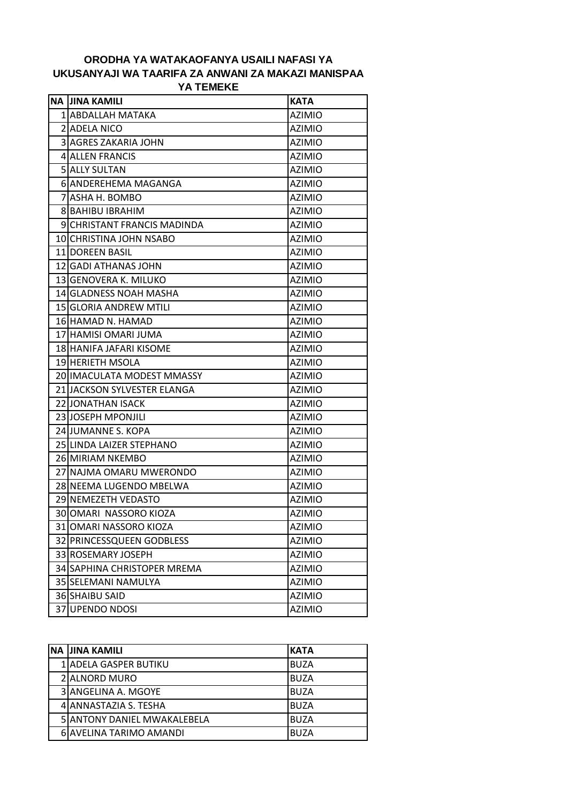## **ORODHA YA WATAKAOFANYA USAILI NAFASI YA UKUSANYAJI WA TAARIFA ZA ANWANI ZA MAKAZI MANISPAA YA TEMEKE**

| <b>NA JINA KAMILI</b>       | <b>KATA</b>   |
|-----------------------------|---------------|
| 1 ABDALLAH MATAKA           | <b>AZIMIO</b> |
| 2 ADELA NICO                | <b>AZIMIO</b> |
| <b>3 AGRES ZAKARIA JOHN</b> | <b>AZIMIO</b> |
| <b>4 ALLEN FRANCIS</b>      | <b>AZIMIO</b> |
| 5 ALLY SULTAN               | <b>AZIMIO</b> |
| 6 ANDEREHEMA MAGANGA        | <b>AZIMIO</b> |
| 7 ASHA H. BOMBO             | <b>AZIMIO</b> |
| <b>8 BAHIBU IBRAHIM</b>     | <b>AZIMIO</b> |
| 9 CHRISTANT FRANCIS MADINDA | <b>AZIMIO</b> |
| 10 CHRISTINA JOHN NSABO     | <b>AZIMIO</b> |
| 11 DOREEN BASIL             | <b>AZIMIO</b> |
| 12 GADI ATHANAS JOHN        | <b>AZIMIO</b> |
| 13 GENOVERA K. MILUKO       | <b>AZIMIO</b> |
| 14 GLADNESS NOAH MASHA      | <b>AZIMIO</b> |
| 15 GLORIA ANDREW MTILI      | <b>AZIMIO</b> |
| 16 HAMAD N. HAMAD           | <b>AZIMIO</b> |
| 17 HAMISI OMARI JUMA        | <b>AZIMIO</b> |
| 18 HANIFA JAFARI KISOME     | <b>AZIMIO</b> |
| 19 HERIETH MSOLA            | <b>AZIMIO</b> |
| 20 IMACULATA MODEST MMASSY  | <b>AZIMIO</b> |
| 21 JACKSON SYLVESTER ELANGA | <b>AZIMIO</b> |
| 22 JONATHAN ISACK           | <b>AZIMIO</b> |
| 23 JOSEPH MPONJILI          | <b>AZIMIO</b> |
| 24 JUMANNE S. KOPA          | <b>AZIMIO</b> |
| 25 LINDA LAIZER STEPHANO    | <b>AZIMIO</b> |
| 26 MIRIAM NKEMBO            | <b>AZIMIO</b> |
| 27 NAJMA OMARU MWERONDO     | <b>AZIMIO</b> |
| 28 NEEMA LUGENDO MBELWA     | <b>AZIMIO</b> |
| 29 NEMEZETH VEDASTO         | <b>AZIMIO</b> |
| 30 JOMARI NASSORO KIOZA     | <b>AZIMIO</b> |
| 31 OMARI NASSORO KIOZA      | <b>AZIMIO</b> |
| 32 PRINCESSQUEEN GODBLESS   | <b>AZIMIO</b> |
| 33 ROSEMARY JOSEPH          | <b>AZIMIO</b> |
| 34 SAPHINA CHRISTOPER MREMA | <b>AZIMIO</b> |
| 35 SELEMANI NAMULYA         | <b>AZIMIO</b> |
| 36 SHAIBU SAID              | <b>AZIMIO</b> |
| 37 UPENDO NDOSI             | <b>AZIMIO</b> |

| INA IJINA KAMILI                    | <b>KATA</b> |
|-------------------------------------|-------------|
| 1 ADELA GASPER BUTIKU               | IBUZA       |
| 2 ALNORD MURO                       | IBUZA       |
| 3 JANGELINA A. MGOYE                | <b>BUZA</b> |
| 4 ANNASTAZIA S. TESHA               | <b>BUZA</b> |
| <b>5 JANTONY DANIEL MWAKALEBELA</b> | <b>BUZA</b> |
| 6 AVELINA TARIMO AMANDI             | <b>BUZA</b> |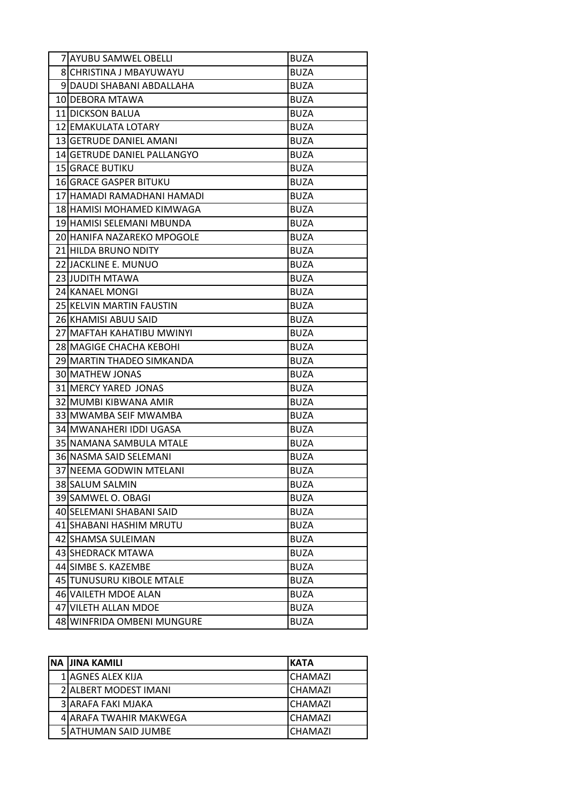| 7 AYUBU SAMWEL OBELLI       | <b>BUZA</b> |
|-----------------------------|-------------|
| 8 CHRISTINA J MBAYUWAYU     | <b>BUZA</b> |
| 9 DAUDI SHABANI ABDALLAHA   | <b>BUZA</b> |
| 10 DEBORA MTAWA             | <b>BUZA</b> |
| 11 DICKSON BALUA            | <b>BUZA</b> |
| 12 EMAKULATA LOTARY         | <b>BUZA</b> |
| 13 GETRUDE DANIEL AMANI     | <b>BUZA</b> |
| 14 GETRUDE DANIEL PALLANGYO | <b>BUZA</b> |
| <b>15 GRACE BUTIKU</b>      | <b>BUZA</b> |
| 16 GRACE GASPER BITUKU      | <b>BUZA</b> |
| 17 HAMADI RAMADHANI HAMADI  | <b>BUZA</b> |
| 18 HAMISI MOHAMED KIMWAGA   | <b>BUZA</b> |
| 19 HAMISI SELEMANI MBUNDA   | <b>BUZA</b> |
| 20 HANIFA NAZAREKO MPOGOLE  | <b>BUZA</b> |
| 21 HILDA BRUNO NDITY        | <b>BUZA</b> |
| 22 JACKLINE E. MUNUO        | <b>BUZA</b> |
| <b>23 JUDITH MTAWA</b>      | <b>BUZA</b> |
| 24 KANAEL MONGI             | <b>BUZA</b> |
| 25 KELVIN MARTIN FAUSTIN    | <b>BUZA</b> |
| 26 KHAMISI ABUU SAID        | <b>BUZA</b> |
| 27 MAFTAH KAHATIBU MWINYI   | <b>BUZA</b> |
| 28 MAGIGE CHACHA KEBOHI     | <b>BUZA</b> |
| 29 MARTIN THADEO SIMKANDA   | <b>BUZA</b> |
| 30 MATHEW JONAS             | <b>BUZA</b> |
| 31 MERCY YARED JONAS        | <b>BUZA</b> |
| 32 MUMBI KIBWANA AMIR       | <b>BUZA</b> |
| 33 MWAMBA SEIF MWAMBA       | <b>BUZA</b> |
| 34 MWANAHERI IDDI UGASA     | <b>BUZA</b> |
| 35 NAMANA SAMBULA MTALE     | <b>BUZA</b> |
| 36 NASMA SAID SELEMANI      | <b>BUZA</b> |
| 37 NEEMA GODWIN MTELANI     | <b>BUZA</b> |
| 38 SALUM SALMIN             | <b>BUZA</b> |
| 39 SAMWEL O. OBAGI          | <b>BUZA</b> |
| 40 SELEMANI SHABANI SAID    | <b>BUZA</b> |
| 41 SHABANI HASHIM MRUTU     | <b>BUZA</b> |
| 42 SHAMSA SULEIMAN          | <b>BUZA</b> |
| 43 SHEDRACK MTAWA           | <b>BUZA</b> |
| 44 SIMBE S. KAZEMBE         | <b>BUZA</b> |
| 45 TUNUSURU KIBOLE MTALE    | <b>BUZA</b> |
| 46 VAILETH MDOE ALAN        | <b>BUZA</b> |
| 47 VILETH ALLAN MDOE        | <b>BUZA</b> |
| 48 WINFRIDA OMBENI MUNGURE  | <b>BUZA</b> |

| NA JINA KAMILI         | <b>KATA</b>    |
|------------------------|----------------|
| 1 AGNES ALEX KIJA      | CHAMAZI        |
| 2 ALBERT MODEST IMANI  | <b>CHAMAZI</b> |
| 3 JARAFA FAKI MJAKA    | <b>CHAMAZI</b> |
| 4 ARAFA TWAHIR MAKWEGA | CHAMAZI        |
| 5 ATHUMAN SAID JUMBE   | <b>CHAMAZI</b> |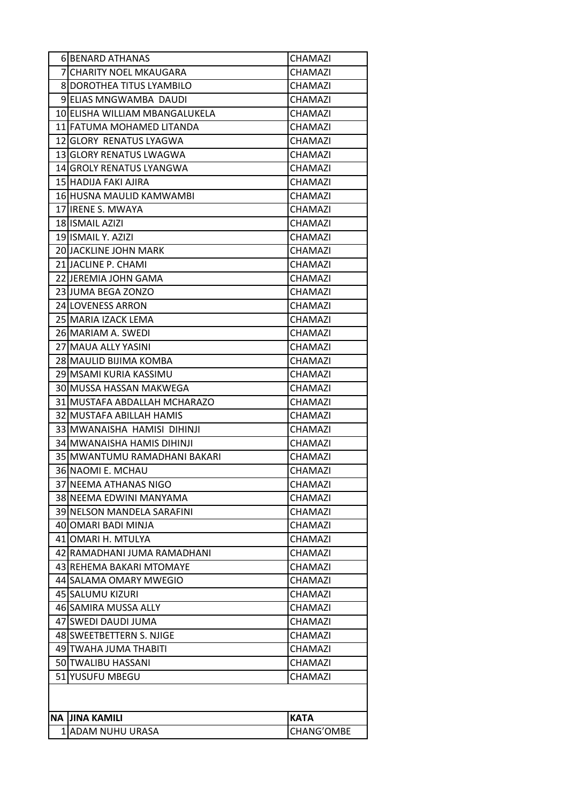|    | <b>6IBENARD ATHANAS</b>            | CHAMAZI     |
|----|------------------------------------|-------------|
|    | 7 CHARITY NOEL MKAUGARA            | CHAMAZI     |
|    | 8 DOROTHEA TITUS LYAMBILO          | CHAMAZI     |
|    | 9 ELIAS MNGWAMBA DAUDI             | CHAMAZI     |
|    | 10 ELISHA WILLIAM MBANGALUKELA     | CHAMAZI     |
|    | 11 FATUMA MOHAMED LITANDA          | CHAMAZI     |
|    | 12 GLORY RENATUS LYAGWA            | CHAMAZI     |
|    | 13 GLORY RENATUS LWAGWA            | CHAMAZI     |
|    | 14 GROLY RENATUS LYANGWA           | CHAMAZI     |
|    | 15 HADIJA FAKI AJIRA               | CHAMAZI     |
|    | 16 HUSNA MAULID KAMWAMBI           | CHAMAZI     |
|    | 17 IRENE S. MWAYA                  | CHAMAZI     |
|    | 18 ISMAIL AZIZI                    | CHAMAZI     |
|    | 19 ISMAIL Y. AZIZI                 | CHAMAZI     |
|    | <b>20 JACKLINE JOHN MARK</b>       | CHAMAZI     |
|    | 21 JACLINE P. CHAMI                | CHAMAZI     |
|    | 22 JEREMIA JOHN GAMA               | CHAMAZI     |
|    | 23 JUMA BEGA ZONZO                 | CHAMAZI     |
|    | 24 LOVENESS ARRON                  | CHAMAZI     |
|    | 25 MARIA IZACK LEMA                | CHAMAZI     |
|    | 26 MARIAM A. SWEDI                 | CHAMAZI     |
|    | 27 MAUA ALLY YASINI                | CHAMAZI     |
|    | 28 MAULID BIJIMA KOMBA             | CHAMAZI     |
|    | 29 MSAMI KURIA KASSIMU             | CHAMAZI     |
|    | 30 MUSSA HASSAN MAKWEGA            | CHAMAZI     |
|    | 31 MUSTAFA ABDALLAH MCHARAZO       | CHAMAZI     |
|    | 32 MUSTAFA ABILLAH HAMIS           | CHAMAZI     |
|    | 33 MWANAISHA HAMISI DIHINJI        | CHAMAZI     |
|    | 34 MWANAISHA HAMIS DIHINJI         | CHAMAZI     |
|    | 35 MWANTUMU RAMADHANI BAKARI       | CHAMAZI     |
|    | 36 NAOMI E. MCHAU                  | CHAMAZI     |
|    | 37 NEEMA ATHANAS NIGO              | CHAMAZI     |
|    | 38 NEEMA EDWINI MANYAMA            | CHAMAZI     |
|    | <b>39 INELSON MANDELA SARAFINI</b> | CHAMAZI     |
|    | 40 JOMARI BADI MINJA               | CHAMAZI     |
|    | 41 JOMARI H. MTULYA                | CHAMAZI     |
|    | 42 RAMADHANI JUMA RAMADHANI        | CHAMAZI     |
|    | 43 REHEMA BAKARI MTOMAYE           | CHAMAZI     |
|    | 44 SALAMA OMARY MWEGIO             | CHAMAZI     |
|    | 45 SALUMU KIZURI                   | CHAMAZI     |
|    | 46 SAMIRA MUSSA ALLY               | CHAMAZI     |
|    | 47 SWEDI DAUDI JUMA                | CHAMAZI     |
|    | 48 SWEETBETTERN S. NJIGE           | CHAMAZI     |
|    | 49 ITWAHA JUMA THABITI             | CHAMAZI     |
|    | 50 TWALIBU HASSANI                 | CHAMAZI     |
| 51 | YUSUFU MBEGU                       | CHAMAZI     |
|    |                                    |             |
|    | NA IJINA KAMILI                    | <b>KATA</b> |
|    | 1 ADAM NUHU URASA                  | CHANG'OMBE  |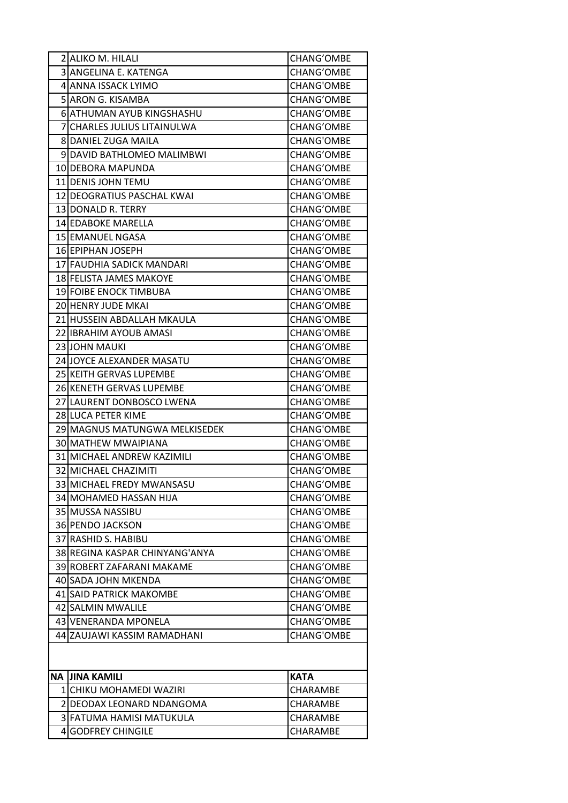| 2 ALIKO M. HILALI              | <b>CHANG'OMBE</b> |
|--------------------------------|-------------------|
| 3 ANGELINA E. KATENGA          | CHANG'OMBE        |
| 4 ANNA ISSACK LYIMO            | <b>CHANG'OMBE</b> |
| 5 ARON G. KISAMBA              | CHANG'OMBE        |
| 6 ATHUMAN AYUB KINGSHASHU      | CHANG'OMBE        |
| 7 CHARLES JULIUS LITAINULWA    | <b>CHANG'OMBE</b> |
| 8 DANIEL ZUGA MAILA            | <b>CHANG'OMBE</b> |
| 9 DAVID BATHLOMEO MALIMBWI     | <b>CHANG'OMBE</b> |
| 10 DEBORA MAPUNDA              | CHANG'OMBE        |
| 11 DENIS JOHN TEMU             | CHANG'OMBE        |
| 12 DEOGRATIUS PASCHAL KWAI     | <b>CHANG'OMBE</b> |
| 13 DONALD R. TERRY             | <b>CHANG'OMBE</b> |
| 14 EDABOKE MARELLA             | <b>CHANG'OMBE</b> |
| 15 EMANUEL NGASA               | CHANG'OMBE        |
| 16 EPIPHAN JOSEPH              | CHANG'OMBE        |
| 17 FAUDHIA SADICK MANDARI      | CHANG'OMBE        |
| 18 FELISTA JAMES MAKOYE        | <b>CHANG'OMBE</b> |
| 19 FOIBE ENOCK TIMBUBA         | <b>CHANG'OMBE</b> |
| 20 HENRY JUDE MKAI             | <b>CHANG'OMBE</b> |
| 21 HUSSEIN ABDALLAH MKAULA     | <b>CHANG'OMBE</b> |
| 22 IBRAHIM AYOUB AMASI         | <b>CHANG'OMBE</b> |
| 23 JOHN MAUKI                  | <b>CHANG'OMBE</b> |
| 24 JOYCE ALEXANDER MASATU      | <b>CHANG'OMBE</b> |
| 25 KEITH GERVAS LUPEMBE        | CHANG'OMBE        |
| 26 KENETH GERVAS LUPEMBE       | <b>CHANG'OMBE</b> |
| 27 LAURENT DONBOSCO LWENA      | <b>CHANG'OMBE</b> |
| 28 LUCA PETER KIME             | CHANG'OMBE        |
| 29 MAGNUS MATUNGWA MELKISEDEK  | <b>CHANG'OMBE</b> |
| 30 MATHEW MWAIPIANA            | <b>CHANG'OMBE</b> |
| 31 MICHAEL ANDREW KAZIMILI     | <b>CHANG'OMBE</b> |
| 32 MICHAEL CHAZIMITI           | <b>CHANG'OMBE</b> |
| 33 MICHAEL FREDY MWANSASU      | <b>CHANG'OMBE</b> |
| 34 MOHAMED HASSAN HIJA         | CHANG'OMBE        |
| 35 MUSSA NASSIBU               | <b>CHANG'OMBE</b> |
| 36 PENDO JACKSON               | <b>CHANG'OMBE</b> |
| 37 RASHID S. HABIBU            | <b>CHANG'OMBE</b> |
| 38 REGINA KASPAR CHINYANG'ANYA | <b>CHANG'OMBE</b> |
| 39 ROBERT ZAFARANI MAKAME      | <b>CHANG'OMBE</b> |
| 40 SADA JOHN MKENDA            | <b>CHANG'OMBE</b> |
| <b>41 SAID PATRICK MAKOMBE</b> | CHANG'OMBE        |
| 42 SALMIN MWALILE              | <b>CHANG'OMBE</b> |
| 43 VENERANDA MPONELA           | CHANG'OMBE        |
| 44 ZAUJAWI KASSIM RAMADHANI    | <b>CHANG'OMBE</b> |
|                                |                   |
| NA IJINA KAMILI                | <b>KATA</b>       |
| 1 ICHIKU MOHAMEDI WAZIRI       | CHARAMBE          |
| 2 IDEODAX LEONARD NDANGOMA     | CHARAMBE          |
| 3 FATUMA HAMISI MATUKULA       | CHARAMBE          |
| 4 GODFREY CHINGILE             | CHARAMBE          |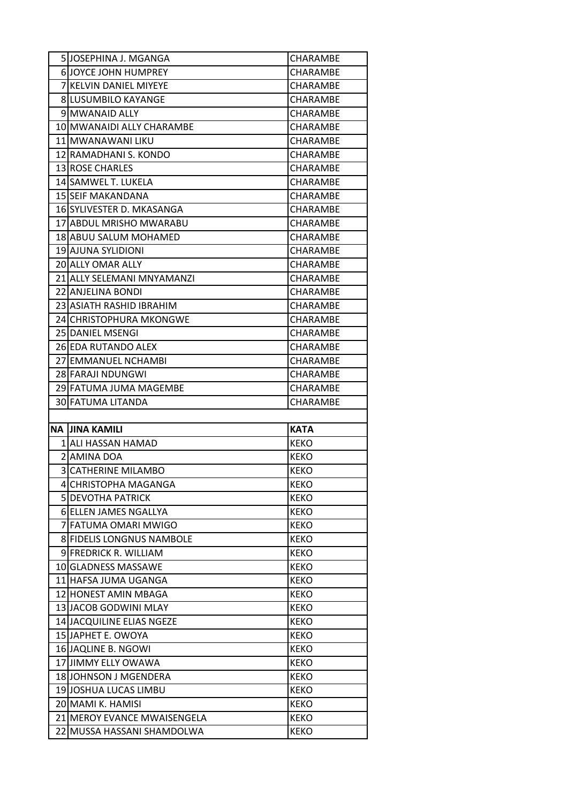| 5JJOSEPHINA J. MGANGA            | CHARAMBE        |
|----------------------------------|-----------------|
| <b>6 JOYCE JOHN HUMPREY</b>      | CHARAMBE        |
| 7 KELVIN DANIEL MIYEYE           | CHARAMBE        |
| <b>8 LUSUMBILO KAYANGE</b>       | <b>CHARAMBE</b> |
| 9 MWANAID ALLY                   | CHARAMBE        |
| 10 MWANAIDI ALLY CHARAMBE        | CHARAMBE        |
| 11 MWANAWANI LIKU                | CHARAMBE        |
| 12 RAMADHANI S. KONDO            | CHARAMBE        |
| <b>13 ROSE CHARLES</b>           | <b>CHARAMBE</b> |
| 14 SAMWEL T. LUKELA              | CHARAMBE        |
| 15 SEIF MAKANDANA                | CHARAMBE        |
| 16 SYLIVESTER D. MKASANGA        | <b>CHARAMBE</b> |
| 17 ABDUL MRISHO MWARABU          | CHARAMBE        |
| 18 ABUU SALUM MOHAMED            | <b>CHARAMBE</b> |
| 19 AJUNA SYLIDIONI               | CHARAMBE        |
| 20 ALLY OMAR ALLY                | CHARAMBE        |
| 21 ALLY SELEMANI MNYAMANZI       | <b>CHARAMBE</b> |
| 22 ANJELINA BONDI                | CHARAMBE        |
| 23 ASIATH RASHID IBRAHIM         | CHARAMBE        |
| 24 CHRISTOPHURA MKONGWE          | CHARAMBE        |
| <b>25 IDANIEL MSENGI</b>         | CHARAMBE        |
| 26 EDA RUTANDO ALEX              | CHARAMBE        |
| 27 IEMMANUEL NCHAMBI             | CHARAMBE        |
|                                  |                 |
| 28 FARAJI NDUNGWI                | <b>CHARAMBE</b> |
| 29 FATUMA JUMA MAGEMBE           | CHARAMBE        |
| 30 FATUMA LITANDA                | <b>CHARAMBE</b> |
|                                  |                 |
| NA IJINA KAMILI                  | <b>KATA</b>     |
| 1 ALI HASSAN HAMAD               | <b>KEKO</b>     |
| 2 AMINA DOA                      | <b>KEKO</b>     |
| 3 CATHERINE MILAMBO              | <b>KEKO</b>     |
| 4 CHRISTOPHA MAGANGA             | <b>KEKO</b>     |
| <b>5 DEVOTHA PATRICK</b>         | <b>KEKO</b>     |
| 6 ELLEN JAMES NGALLYA            | <b>KEKO</b>     |
| 7 FATUMA OMARI MWIGO             | <b>KEKO</b>     |
| <b>8 FIDELIS LONGNUS NAMBOLE</b> | <b>KEKO</b>     |
| 9 FREDRICK R. WILLIAM            | <b>KEKO</b>     |
| 10 GLADNESS MASSAWE              | <b>KEKO</b>     |
| 11 HAFSA JUMA UGANGA             | <b>KEKO</b>     |
| 12 HONEST AMIN MBAGA             | <b>KEKO</b>     |
| 13 JACOB GODWINI MLAY            | <b>KEKO</b>     |
| 14 JACQUILINE ELIAS NGEZE        | <b>KEKO</b>     |
| 15 JAPHET E. OWOYA               | <b>KEKO</b>     |
| 16 JAQLINE B. NGOWI              | <b>KEKO</b>     |
| 17 JIMMY ELLY OWAWA              | <b>KEKO</b>     |
| 18 JOHNSON J MGENDERA            | <b>KEKO</b>     |
| 19 JOSHUA LUCAS LIMBU            | <b>KEKO</b>     |
| 20 MAMI K. HAMISI                | <b>KEKO</b>     |
| 21 MEROY EVANCE MWAISENGELA      | KEKO            |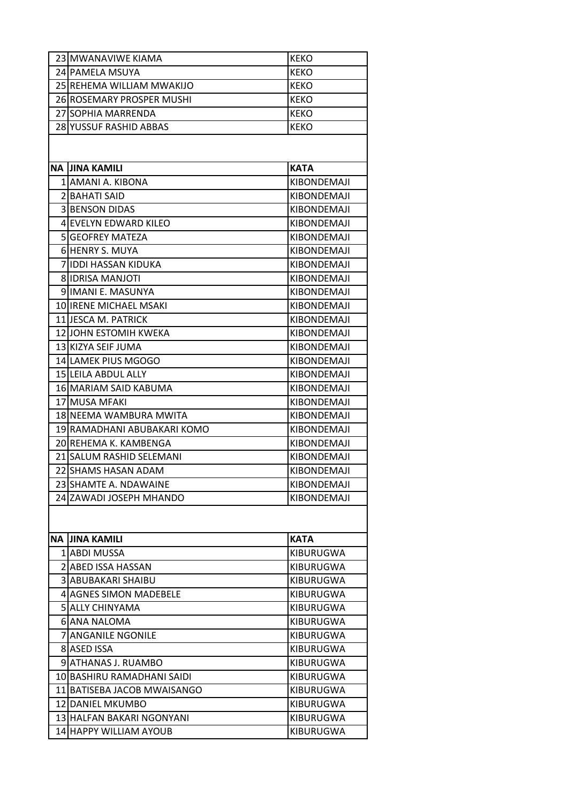| 23 MWANAVIWE KIAMA          | <b>KEKO</b>      |
|-----------------------------|------------------|
| 24 PAMELA MSUYA             | <b>KEKO</b>      |
| 25 REHEMA WILLIAM MWAKIJO   | <b>KEKO</b>      |
| 26 ROSEMARY PROSPER MUSHI   | <b>KEKO</b>      |
| 27 SOPHIA MARRENDA          | <b>KEKO</b>      |
| 28 YUSSUF RASHID ABBAS      | <b>KEKO</b>      |
| NA IJINA KAMILI             | <b>KATA</b>      |
| 1 AMANI A. KIBONA           | KIBONDEMAJI      |
| 2 BAHATI SAID               | KIBONDEMAJI      |
| <b>3 BENSON DIDAS</b>       | KIBONDEMAJI      |
| 4 EVELYN EDWARD KILEO       | KIBONDEMAJI      |
| 5 GEOFREY MATEZA            | KIBONDEMAJI      |
| 6 HENRY S. MUYA             | KIBONDEMAJI      |
| 7 IIDDI HASSAN KIDUKA       | KIBONDEMAJI      |
| 8 IDRISA MANJOTI            | KIBONDEMAJI      |
| 9 JIMANI E. MASUNYA         | KIBONDEMAJI      |
| 10 IRENE MICHAEL MSAKI      | KIBONDEMAJI      |
| 11 JJESCA M. PATRICK        | KIBONDEMAJI      |
| 12 JOHN ESTOMIH KWEKA       | KIBONDEMAJI      |
| 13 KIZYA SEIF JUMA          | KIBONDEMAJI      |
| 14 LAMEK PIUS MGOGO         | KIBONDEMAJI      |
| 15 LEILA ABDUL ALLY         | KIBONDEMAJI      |
| 16 MARIAM SAID KABUMA       | KIBONDEMAJI      |
| 17 MUSA MFAKI               | KIBONDEMAJI      |
| 18 NEEMA WAMBURA MWITA      | KIBONDEMAJI      |
| 19 RAMADHANI ABUBAKARI KOMO | KIBONDEMAJI      |
| 20 REHEMA K. KAMBENGA       | KIBONDEMAJI      |
| 21 SALUM RASHID SELEMANI    | KIBONDEMAJI      |
| 22 SHAMS HASAN ADAM         | KIBONDEMAJI      |
| 23 SHAMTE A. NDAWAINE       | KIBONDEMAJI      |
| 24 ZAWADI JOSEPH MHANDO     | KIBONDEMAJI      |
|                             |                  |
| NA IJINA KAMILI             | <b>KATA</b>      |
| 1 ABDI MUSSA                | <b>KIBURUGWA</b> |
| 2 ABED ISSA HASSAN          | KIBURUGWA        |
| <b>3 ABUBAKARI SHAIBU</b>   | <b>KIBURUGWA</b> |
| 4 AGNES SIMON MADEBELE      | KIBURUGWA        |
| <b>5 ALLY CHINYAMA</b>      | <b>KIBURUGWA</b> |
| 6 ANA NALOMA                | <b>KIBURUGWA</b> |
| 7 ANGANILE NGONILE          | KIBURUGWA        |
|                             |                  |
| 8 ASED ISSA                 | <b>KIBURUGWA</b> |
| 9 ATHANAS J. RUAMBO         | KIBURUGWA        |
| 10 BASHIRU RAMADHANI SAIDI  | <b>KIBURUGWA</b> |
| 11 BATISEBA JACOB MWAISANGO | <b>KIBURUGWA</b> |
| 12 IDANIEL MKUMBO           | KIBURUGWA        |
| 13 HALFAN BAKARI NGONYANI   | <b>KIBURUGWA</b> |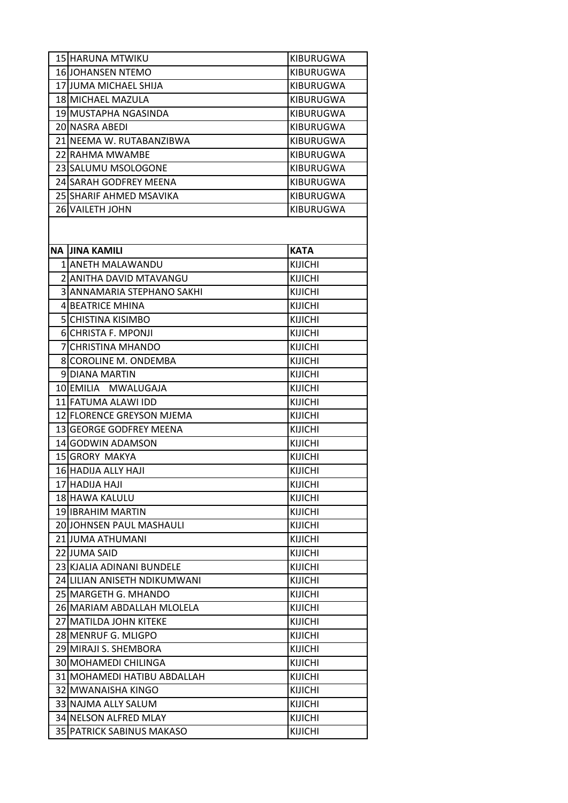|    | 15 HARUNA MTWIKU             | KIBURUGWA        |
|----|------------------------------|------------------|
|    | 16 JOHANSEN NTEMO            | <b>KIBURUGWA</b> |
|    | 17 JUMA MICHAEL SHIJA        | KIBURUGWA        |
|    | 18 MICHAEL MAZULA            | <b>KIBURUGWA</b> |
|    | 19 MUSTAPHA NGASINDA         | KIBURUGWA        |
|    | 20 NASRA ABEDI               | <b>KIBURUGWA</b> |
|    | 21 NEEMA W. RUTABANZIBWA     | KIBURUGWA        |
|    | 22 RAHMA MWAMBE              | KIBURUGWA        |
|    | 23 SALUMU MSOLOGONE          | <b>KIBURUGWA</b> |
|    | 24 SARAH GODFREY MEENA       | KIBURUGWA        |
|    | 25 SHARIF AHMED MSAVIKA      | <b>KIBURUGWA</b> |
|    | 26 VAILETH JOHN              | KIBURUGWA        |
|    |                              |                  |
|    |                              |                  |
| ΝA | <b>JINA KAMILI</b>           | <b>KATA</b>      |
|    | 1 ANETH MALAWANDU            | <b>KIJICHI</b>   |
|    | 2 ANITHA DAVID MTAVANGU      | <b>KIJICHI</b>   |
|    | 3 ANNAMARIA STEPHANO SAKHI   | <b>KIJICHI</b>   |
|    | 4 BEATRICE MHINA             | <b>KIJICHI</b>   |
|    | 5 CHISTINA KISIMBO           | <b>KIJICHI</b>   |
|    | 6 CHRISTA F. MPONJI          | <b>KIJICHI</b>   |
|    | 7 CHRISTINA MHANDO           | <b>KIJICHI</b>   |
|    | 8 COROLINE M. ONDEMBA        | <b>KIJICHI</b>   |
|    | 9 DIANA MARTIN               | <b>KIJICHI</b>   |
|    | 10 EMILIA MWALUGAJA          | <b>KIJICHI</b>   |
|    | 11 FATUMA ALAWI IDD          | <b>KIJICHI</b>   |
|    | 12 FLORENCE GREYSON MJEMA    | <b>KIJICHI</b>   |
|    | 13 GEORGE GODFREY MEENA      | <b>KIJICHI</b>   |
|    | 14 GODWIN ADAMSON            | <b>KIJICHI</b>   |
|    | 15 GRORY MAKYA               | <b>KIJICHI</b>   |
|    | 16 HADIJA ALLY HAJI          | <b>KIJICHI</b>   |
|    | 17 HADIJA HAJI               | KIJICHI          |
|    | 18 HAWA KALULU               | <b>KIJICHI</b>   |
|    | 19 IBRAHIM MARTIN            | <b>KIJICHI</b>   |
|    | 20 JOHNSEN PAUL MASHAULI     | <b>KIJICHI</b>   |
|    | 21 JUMA ATHUMANI             | <b>KIJICHI</b>   |
|    | 22 JUMA SAID                 | <b>KIJICHI</b>   |
|    | 23 KJALIA ADINANI BUNDELE    | <b>KIJICHI</b>   |
|    | 24 LILIAN ANISETH NDIKUMWANI | <b>KIJICHI</b>   |
|    | 25 MARGETH G. MHANDO         | <b>KIJICHI</b>   |
|    | 26 MARIAM ABDALLAH MLOLELA   | <b>KIJICHI</b>   |
|    | 27 MATILDA JOHN KITEKE       | <b>KIJICHI</b>   |
|    | 28 MENRUF G. MLIGPO          | <b>KIJICHI</b>   |
|    | 29 MIRAJI S. SHEMBORA        | <b>KIJICHI</b>   |
|    | 30 MOHAMEDI CHILINGA         | KIJICHI          |
|    | 31 MOHAMEDI HATIBU ABDALLAH  | <b>KIJICHI</b>   |
|    | 32 MWANAISHA KINGO           | <b>KIJICHI</b>   |
|    | 33 NAJMA ALLY SALUM          | <b>KIJICHI</b>   |
|    | 34 NELSON ALFRED MLAY        | <b>KIJICHI</b>   |
|    | 35 PATRICK SABINUS MAKASO    | KIJICHI          |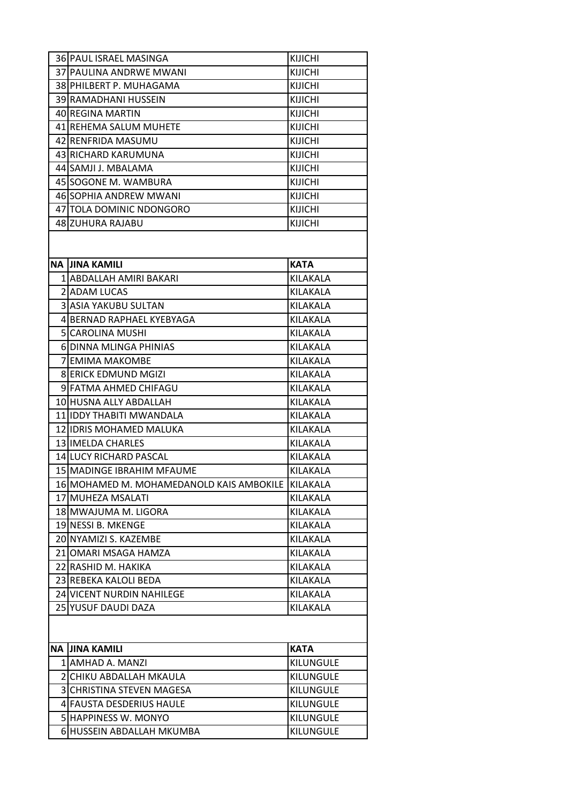| 36 PAUL ISRAEL MASINGA                            | <b>KIJICHI</b>   |
|---------------------------------------------------|------------------|
| 37 PAULINA ANDRWE MWANI                           | <b>KIJICHI</b>   |
| 38 PHILBERT P. MUHAGAMA                           | KIJICHI          |
| 39 RAMADHANI HUSSEIN                              | KIJICHI          |
| 40 REGINA MARTIN                                  | <b>KIJICHI</b>   |
| 41 REHEMA SALUM MUHETE                            | KIJICHI          |
| 42 RENFRIDA MASUMU                                | <b>KIJICHI</b>   |
| 43 RICHARD KARUMUNA                               | KIJICHI          |
| 44 SAMJI J. MBALAMA                               | KIJICHI          |
| 45 SOGONE M. WAMBURA                              | <b>KIJICHI</b>   |
| 46ISOPHIA ANDREW MWANI                            | KIJICHI          |
| 47 TOLA DOMINIC NDONGORO                          | <b>KIJICHI</b>   |
| 48 ZUHURA RAJABU                                  | KIJICHI          |
| <b>NA JINA KAMILI</b>                             | <b>KATA</b>      |
| 1 ABDALLAH AMIRI BAKARI                           | KILAKALA         |
| 2 ADAM LUCAS                                      | KILAKALA         |
| 3 ASIA YAKUBU SULTAN                              | KILAKALA         |
| 4 BERNAD RAPHAEL KYEBYAGA                         | KILAKALA         |
| <b>5ICAROLINA MUSHI</b>                           | KILAKALA         |
| 6 DINNA MLINGA PHINIAS                            | KILAKALA         |
| <b>7 EMIMA MAKOMBE</b>                            | KILAKALA         |
| <b>8 ERICK EDMUND MGIZI</b>                       | KILAKALA         |
| 9 FATMA AHMED CHIFAGU                             | KILAKALA         |
| 10 HUSNA ALLY ABDALLAH                            | KILAKALA         |
| 11 IDDY THABITI MWANDALA                          | KILAKALA         |
| 12 IDRIS MOHAMED MALUKA                           | KILAKALA         |
| 13 IMELDA CHARLES                                 | KILAKALA         |
| <b>14 LUCY RICHARD PASCAL</b>                     | KILAKALA         |
| 15 MADINGE IBRAHIM MFAUME                         | KILAKALA         |
| 16 MOHAMED M. MOHAMEDANOLD KAIS AMBOKILE KILAKALA |                  |
| 17 MUHEZA MSALATI                                 | KILAKALA         |
| 18 MWAJUMA M. LIGORA                              | KILAKALA         |
| 19 NESSI B. MKENGE                                | KILAKALA         |
| 20 NYAMIZI S. KAZEMBE                             | KILAKALA         |
| 21 OMARI MSAGA HAMZA                              | KILAKALA         |
| 22 RASHID M. HAKIKA                               | KILAKALA         |
| 23 REBEKA KALOLI BEDA                             | KILAKALA         |
| 24 VICENT NURDIN NAHILEGE                         | KILAKALA         |
| 25 YUSUF DAUDI DAZA                               | KILAKALA         |
|                                                   |                  |
| NA JINA KAMILI                                    | <b>KATA</b>      |
| 1 AMHAD A. MANZI                                  | KILUNGULE        |
| 2 CHIKU ABDALLAH MKAULA                           | <b>KILUNGULE</b> |
| 3 CHRISTINA STEVEN MAGESA                         | KILUNGULE        |
| 4 FAUSTA DESDERIUS HAULE                          | <b>KILUNGULE</b> |
|                                                   |                  |
| 5 HAPPINESS W. MONYO                              | <b>KILUNGULE</b> |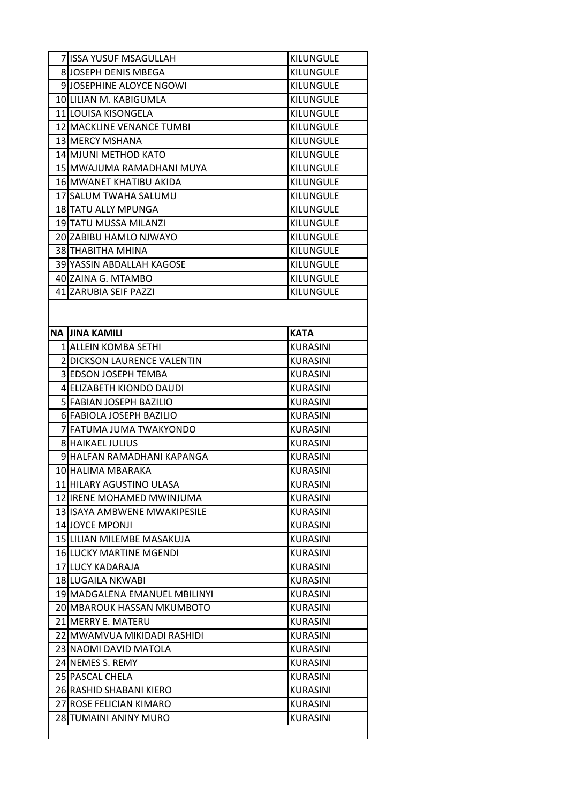| KILUNGULE<br>KILUNGULE<br><b>KILUNGULE</b><br>KILUNGULE<br>KILUNGULE<br>KILUNGULE<br>KILUNGULE<br><b>KILUNGULE</b><br><b>KILUNGULE</b><br>KILUNGULE<br>KILUNGULE<br>KILUNGULE<br><b>KILUNGULE</b><br>KILUNGULE<br>KILUNGULE<br>KILUNGULE<br><b>KILUNGULE</b> |
|--------------------------------------------------------------------------------------------------------------------------------------------------------------------------------------------------------------------------------------------------------------|
|                                                                                                                                                                                                                                                              |
|                                                                                                                                                                                                                                                              |
|                                                                                                                                                                                                                                                              |
|                                                                                                                                                                                                                                                              |
|                                                                                                                                                                                                                                                              |
|                                                                                                                                                                                                                                                              |
|                                                                                                                                                                                                                                                              |
|                                                                                                                                                                                                                                                              |
|                                                                                                                                                                                                                                                              |
|                                                                                                                                                                                                                                                              |
|                                                                                                                                                                                                                                                              |
|                                                                                                                                                                                                                                                              |
|                                                                                                                                                                                                                                                              |
|                                                                                                                                                                                                                                                              |
|                                                                                                                                                                                                                                                              |
|                                                                                                                                                                                                                                                              |
|                                                                                                                                                                                                                                                              |
|                                                                                                                                                                                                                                                              |
|                                                                                                                                                                                                                                                              |
| <b>KATA</b>                                                                                                                                                                                                                                                  |
| KURASINI                                                                                                                                                                                                                                                     |
| <b>KURASINI</b>                                                                                                                                                                                                                                              |
| <b>KURASINI</b>                                                                                                                                                                                                                                              |
| <b>KURASINI</b>                                                                                                                                                                                                                                              |
| <b>KURASINI</b>                                                                                                                                                                                                                                              |
| <b>KURASINI</b>                                                                                                                                                                                                                                              |
| <b>KURASINI</b>                                                                                                                                                                                                                                              |
| <b>KURASINI</b>                                                                                                                                                                                                                                              |
| <b>KURASINI</b>                                                                                                                                                                                                                                              |
| <b>KURASINI</b>                                                                                                                                                                                                                                              |
| KURASINI                                                                                                                                                                                                                                                     |
| <b>KURASINI</b>                                                                                                                                                                                                                                              |
| <b>KURASINI</b>                                                                                                                                                                                                                                              |
| <b>KURASINI</b>                                                                                                                                                                                                                                              |
| <b>KURASINI</b>                                                                                                                                                                                                                                              |
| KURASINI                                                                                                                                                                                                                                                     |
| <b>KURASINI</b>                                                                                                                                                                                                                                              |
| <b>KURASINI</b>                                                                                                                                                                                                                                              |
| <b>KURASINI</b>                                                                                                                                                                                                                                              |
| <b>KURASINI</b>                                                                                                                                                                                                                                              |
| KURASINI                                                                                                                                                                                                                                                     |
| <b>KURASINI</b>                                                                                                                                                                                                                                              |
| <b>KURASINI</b>                                                                                                                                                                                                                                              |
| <b>KURASINI</b>                                                                                                                                                                                                                                              |
| <b>KURASINI</b>                                                                                                                                                                                                                                              |
| KURASINI                                                                                                                                                                                                                                                     |
|                                                                                                                                                                                                                                                              |
| <b>KURASINI</b><br><b>KURASINI</b>                                                                                                                                                                                                                           |
|                                                                                                                                                                                                                                                              |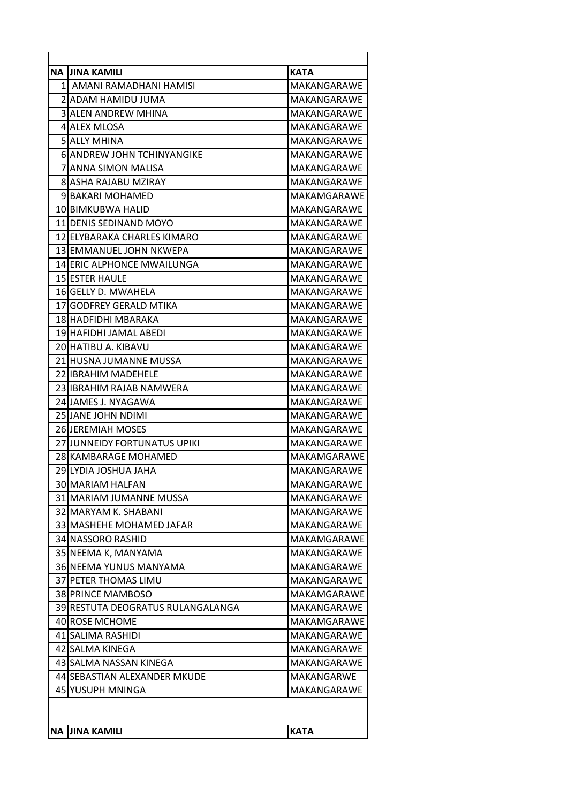|           | NA IJINA KAMILI                   | <b>KATA</b> |
|-----------|-----------------------------------|-------------|
|           | 1 AMANI RAMADHANI HAMISI          | MAKANGARAWE |
|           | 2IADAM HAMIDU JUMA                | MAKANGARAWE |
|           | <b>3 ALEN ANDREW MHINA</b>        | MAKANGARAWE |
|           | 4 ALEX MLOSA                      | MAKANGARAWE |
|           | 5 JALLY MHINA                     | MAKANGARAWE |
|           | <b>6 ANDREW JOHN TCHINYANGIKE</b> | MAKANGARAWE |
|           | 7 JANNA SIMON MALISA              | MAKANGARAWE |
|           | 8 ASHA RAJABU MZIRAY              | MAKANGARAWE |
|           | 9IBAKARI MOHAMED                  | MAKAMGARAWE |
|           | 10 BIMKUBWA HALID                 | MAKANGARAWE |
|           | 11 DENIS SEDINAND MOYO            | MAKANGARAWE |
|           | 12 ELYBARAKA CHARLES KIMARO       | MAKANGARAWE |
|           | 13 EMMANUEL JOHN NKWEPA           | MAKANGARAWE |
|           | 14 ERIC ALPHONCE MWAILUNGA        | MAKANGARAWE |
|           | <b>15 ESTER HAULE</b>             | MAKANGARAWE |
|           | 16 GELLY D. MWAHELA               | MAKANGARAWE |
| 17I       | <b>GODFREY GERALD MTIKA</b>       | MAKANGARAWE |
|           | 18 HADFIDHI MBARAKA               | MAKANGARAWE |
|           | 19 HAFIDHI JAMAL ABEDI            | MAKANGARAWE |
|           | 20 HATIBU A. KIBAVU               | MAKANGARAWE |
|           | 21 HUSNA JUMANNE MUSSA            | MAKANGARAWE |
|           | 22 IIBRAHIM MADEHELE              | MAKANGARAWE |
|           | 23 IIBRAHIM RAJAB NAMWERA         | MAKANGARAWE |
|           | 24 JAMES J. NYAGAWA               | MAKANGARAWE |
|           | 25 JJANE JOHN NDIMI               | MAKANGARAWE |
|           | <b>26 JEREMIAH MOSES</b>          | MAKANGARAWE |
|           | 27 JUNNEIDY FORTUNATUS UPIKI      | MAKANGARAWE |
|           | 28 KAMBARAGE MOHAMED              | MAKAMGARAWE |
|           | 29 LYDIA JOSHUA JAHA              | MAKANGARAWE |
|           | 30 MARIAM HALFAN                  | MAKANGARAWE |
|           | 31 MARIAM JUMANNE MUSSA           | MAKANGARAWE |
|           | 32 MARYAM K. SHABANI              | MAKANGARAWE |
|           | 33 MASHEHE MOHAMED JAFAR          | MAKANGARAWE |
|           | 34 NASSORO RASHID                 | MAKAMGARAWE |
|           | 35 NEEMA K, MANYAMA               | MAKANGARAWE |
|           | 36 NEEMA YUNUS MANYAMA            | MAKANGARAWE |
|           | 37 <b>IPETER THOMAS LIMU</b>      | MAKANGARAWE |
|           | 38 PRINCE MAMBOSO                 | MAKAMGARAWE |
|           | 39 RESTUTA DEOGRATUS RULANGALANGA | MAKANGARAWE |
|           | 40 ROSE MCHOME                    | MAKAMGARAWE |
|           | 41 SALIMA RASHIDI                 | MAKANGARAWE |
|           | 42 SALMA KINEGA                   | MAKANGARAWE |
|           | 43 SALMA NASSAN KINEGA            | MAKANGARAWE |
|           | 44 SEBASTIAN ALEXANDER MKUDE      | MAKANGARWE  |
|           | 45 YUSUPH MNINGA                  | MAKANGARAWE |
|           |                                   |             |
|           |                                   |             |
| <b>NA</b> | <b>JINA KAMILI</b>                | <b>KATA</b> |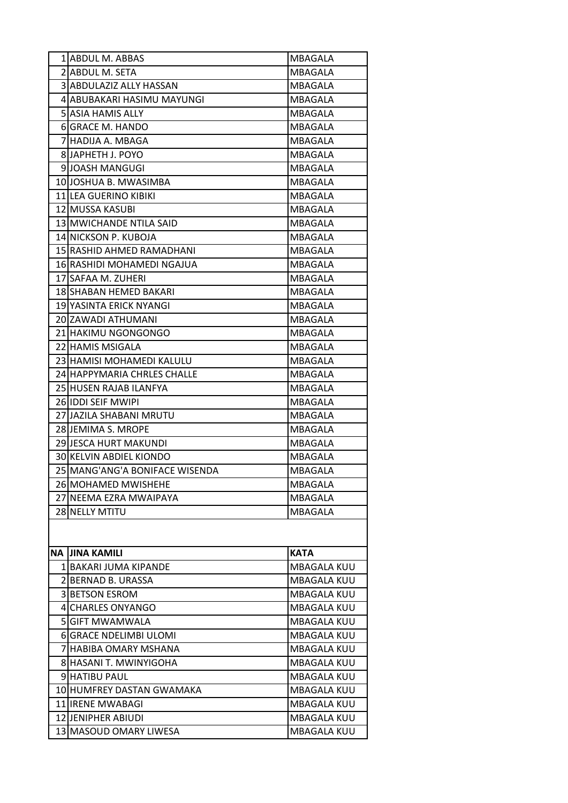|           | 1 ABDUL M. ABBAS               | MBAGALA            |
|-----------|--------------------------------|--------------------|
|           | 2 ABDUL M. SETA                | MBAGALA            |
|           | 3 ABDULAZIZ ALLY HASSAN        | MBAGALA            |
|           | 4 ABUBAKARI HASIMU MAYUNGI     | MBAGALA            |
|           | <b>5 ASIA HAMIS ALLY</b>       | MBAGALA            |
|           | 6 GRACE M. HANDO               | MBAGALA            |
|           | 7 HADIJA A. MBAGA              | MBAGALA            |
|           | 8 JAPHETH J. POYO              | MBAGALA            |
|           | 9JJOASH MANGUGI                | MBAGALA            |
|           | 10 JOSHUA B. MWASIMBA          | MBAGALA            |
|           | 11 LEA GUERINO KIBIKI          | MBAGALA            |
|           | 12 MUSSA KASUBI                | MBAGALA            |
|           | 13 MWICHANDE NTILA SAID        | MBAGALA            |
|           | 14 NICKSON P. KUBOJA           | MBAGALA            |
|           | 15 RASHID AHMED RAMADHANI      | MBAGALA            |
|           | 16 RASHIDI MOHAMEDI NGAJUA     | MBAGALA            |
|           | 17 SAFAA M. ZUHERI             | MBAGALA            |
|           | 18 SHABAN HEMED BAKARI         | MBAGALA            |
|           | 19 YASINTA ERICK NYANGI        | MBAGALA            |
|           | 20 ZAWADI ATHUMANI             | MBAGALA            |
|           | 21 HAKIMU NGONGONGO            | MBAGALA            |
|           | 22 HAMIS MSIGALA               | MBAGALA            |
|           | 23 HAMISI MOHAMEDI KALULU      | MBAGALA            |
|           | 24 HAPPYMARIA CHRLES CHALLE    | MBAGALA            |
|           | 25 HUSEN RAJAB ILANFYA         | MBAGALA            |
|           | 26 IDDI SEIF MWIPI             | MBAGALA            |
|           | 27 JAZILA SHABANI MRUTU        | MBAGALA            |
|           | 28 JEMIMA S. MROPE             | MBAGALA            |
|           | 29 JESCA HURT MAKUNDI          | MBAGALA            |
|           | 30 KELVIN ABDIEL KIONDO        | MBAGALA            |
|           | 25 MANG'ANG'A BONIFACE WISENDA | MBAGALA            |
|           | 26 MOHAMED MWISHEHE            | MBAGALA            |
|           | 27 INEEMA EZRA MWAIPAYA        | MBAGALA            |
|           | 28 NELLY MTITU                 | MBAGALA            |
|           |                                |                    |
|           |                                |                    |
| <b>NA</b> | <b>JINA KAMILI</b>             | <b>KATA</b>        |
|           | 1 BAKARI JUMA KIPANDE          | MBAGALA KUU        |
|           | 2 BERNAD B. URASSA             | <b>MBAGALA KUU</b> |
|           | 3 BETSON ESROM                 | MBAGALA KUU        |
|           | 4 CHARLES ONYANGO              | <b>MBAGALA KUU</b> |
|           | <b>5 GIFT MWAMWALA</b>         | <b>MBAGALA KUU</b> |
|           | 6 GRACE NDELIMBI ULOMI         | MBAGALA KUU        |
|           | 7 HABIBA OMARY MSHANA          | <b>MBAGALA KUU</b> |
|           | 8 HASANI T. MWINYIGOHA         | MBAGALA KUU        |
|           | <b>9 HATIBU PAUL</b>           | <b>MBAGALA KUU</b> |
|           | 10 HUMFREY DASTAN GWAMAKA      | <b>MBAGALA KUU</b> |
|           | 11 IRENE MWABAGI               | MBAGALA KUU        |
|           | 12 JENIPHER ABIUDI             | <b>MBAGALA KUU</b> |
|           | 13 MASOUD OMARY LIWESA         | MBAGALA KUU        |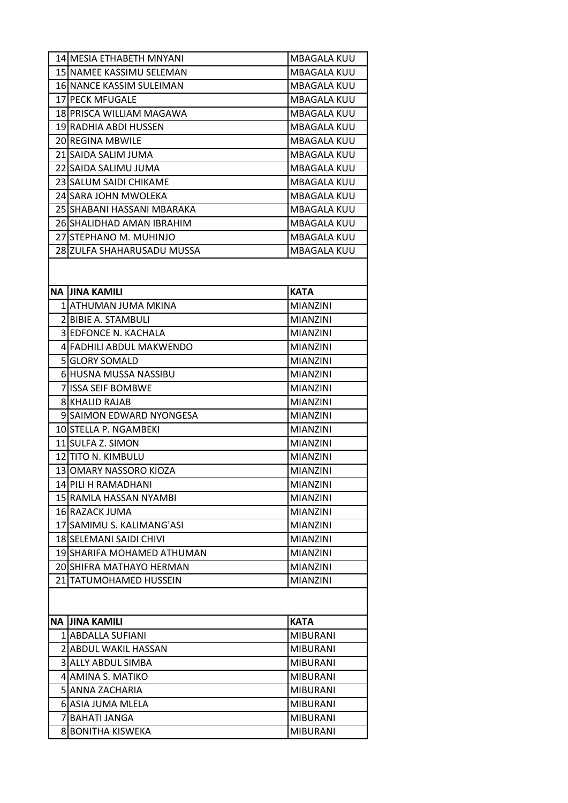| 14 MESIA ETHABETH MNYANI                   | <b>MBAGALA KUU</b> |
|--------------------------------------------|--------------------|
| 15 NAMEE KASSIMU SELEMAN                   | <b>MBAGALA KUU</b> |
| 16 NANCE KASSIM SULEIMAN                   | <b>MBAGALA KUU</b> |
| 17 PECK MFUGALE                            | <b>MBAGALA KUU</b> |
| 18 PRISCA WILLIAM MAGAWA                   | MBAGALA KUU        |
| 19 RADHIA ABDI HUSSEN                      | <b>MBAGALA KUU</b> |
| 20 REGINA MBWILE                           | <b>MBAGALA KUU</b> |
| 21 SAIDA SALIM JUMA                        | <b>MBAGALA KUU</b> |
| 22 SAIDA SALIMU JUMA                       | <b>MBAGALA KUU</b> |
| 23 SALUM SAIDI CHIKAME                     | MBAGALA KUU        |
| 24 SARA JOHN MWOLEKA                       | <b>MBAGALA KUU</b> |
| 25 SHABANI HASSANI MBARAKA                 | <b>MBAGALA KUU</b> |
| 26ISHALIDHAD AMAN IBRAHIM                  | <b>MBAGALA KUU</b> |
| 27 STEPHANO M. MUHINJO                     | <b>MBAGALA KUU</b> |
| 28 ZULFA SHAHARUSADU MUSSA                 | <b>MBAGALA KUU</b> |
| NA IJINA KAMILI                            | <b>KATA</b>        |
| 1 IATHUMAN JUMA MKINA                      | <b>MIANZINI</b>    |
| 2 BIBIE A. STAMBULI                        | <b>MIANZINI</b>    |
| 3 EDFONCE N. KACHALA                       | <b>MIANZINI</b>    |
| 4 FADHILI ABDUL MAKWENDO                   | <b>MIANZINI</b>    |
| <b>5 GLORY SOMALD</b>                      | <b>MIANZINI</b>    |
| 6 HUSNA MUSSA NASSIBU                      | <b>MIANZINI</b>    |
| 7 ISSA SEIF BOMBWE                         | <b>MIANZINI</b>    |
| <b>8IKHALID RAJAB</b>                      | <b>MIANZINI</b>    |
| 9 SAIMON EDWARD NYONGESA                   | <b>MIANZINI</b>    |
| 10 STELLA P. NGAMBEKI                      | <b>MIANZINI</b>    |
| 11 SULFA Z. SIMON                          | <b>MIANZINI</b>    |
| 12 TITO N. KIMBULU                         | <b>MIANZINI</b>    |
| 13IOMARY NASSORO KIOZA                     | <b>MIANZINI</b>    |
| 14 PILI H RAMADHANI                        | <b>MIANZINI</b>    |
| 15 RAMLA HASSAN NYAMBI                     | <b>MIANZINI</b>    |
| 16lRAZACK JUMA                             | <b>MIANZINI</b>    |
| 17 SAMIMU S. KALIMANG'ASI                  | <b>MIANZINI</b>    |
| 18 SELEMANI SAIDI CHIVI                    | <b>MIANZINI</b>    |
| 19 SHARIFA MOHAMED ATHUMAN                 | <b>MIANZINI</b>    |
| 20 SHIFRA MATHAYO HERMAN                   | <b>MIANZINI</b>    |
| 21 ITATUMOHAMED HUSSEIN                    | <b>MIANZINI</b>    |
|                                            |                    |
| NA JINA KAMILI                             | <b>KATA</b>        |
| 1 ABDALLA SUFIANI                          | <b>MIBURANI</b>    |
| 2 ABDUL WAKIL HASSAN                       | <b>MIBURANI</b>    |
| 3 ALLY ABDUL SIMBA                         | <b>MIBURANI</b>    |
| 4 AMINA S. MATIKO                          | <b>MIBURANI</b>    |
| 5 ANNA ZACHARIA                            | <b>MIBURANI</b>    |
| 6 ASIA JUMA MLELA                          | <b>MIBURANI</b>    |
|                                            | <b>MIBURANI</b>    |
| 7 BAHATI JANGA<br><b>8 BONITHA KISWEKA</b> | <b>MIBURANI</b>    |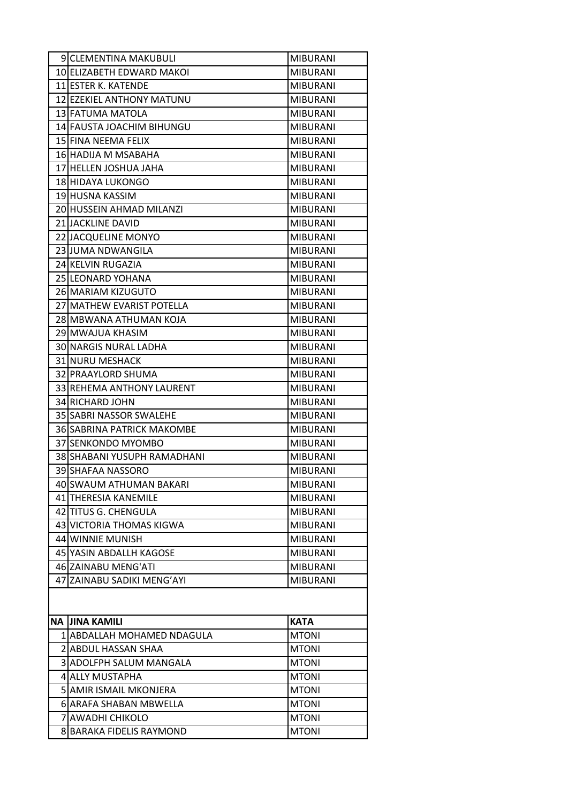|           | 9 CLEMENTINA MAKUBULI                        | <b>MIBURANI</b>              |
|-----------|----------------------------------------------|------------------------------|
|           | 10 ELIZABETH EDWARD MAKOI                    | <b>MIBURANI</b>              |
|           | 11 ESTER K. KATENDE                          | <b>MIBURANI</b>              |
|           | 12 EZEKIEL ANTHONY MATUNU                    | <b>MIBURANI</b>              |
|           | 13 FATUMA MATOLA                             | <b>MIBURANI</b>              |
|           | 14 FAUSTA JOACHIM BIHUNGU                    | <b>MIBURANI</b>              |
|           | 15 FINA NEEMA FELIX                          | <b>MIBURANI</b>              |
|           | 16 HADIJA M MSABAHA                          | <b>MIBURANI</b>              |
|           | 17 HELLEN JOSHUA JAHA                        | <b>MIBURANI</b>              |
|           | 18 HIDAYA LUKONGO                            | <b>MIBURANI</b>              |
|           | 19 HUSNA KASSIM                              | <b>MIBURANI</b>              |
|           | 20 HUSSEIN AHMAD MILANZI                     | <b>MIBURANI</b>              |
|           | 21 JACKLINE DAVID                            | <b>MIBURANI</b>              |
|           | 22 JACQUELINE MONYO                          | <b>MIBURANI</b>              |
|           | 23 JUMA NDWANGILA                            | <b>MIBURANI</b>              |
|           | 24 KELVIN RUGAZIA                            | <b>MIBURANI</b>              |
|           | 25 LEONARD YOHANA                            | <b>MIBURANI</b>              |
|           | 26 MARIAM KIZUGUTO                           | <b>MIBURANI</b>              |
|           | 27 MATHEW EVARIST POTELLA                    | <b>MIBURANI</b>              |
|           | 28 MBWANA ATHUMAN KOJA                       | <b>MIBURANI</b>              |
|           | 29 MWAJUA KHASIM                             | <b>MIBURANI</b>              |
|           | 30 NARGIS NURAL LADHA                        | <b>MIBURANI</b>              |
|           | 31 NURU MESHACK                              | <b>MIBURANI</b>              |
|           | 32 PRAAYLORD SHUMA                           | <b>MIBURANI</b>              |
|           | 33 REHEMA ANTHONY LAURENT                    | <b>MIBURANI</b>              |
|           | 34 RICHARD JOHN                              | <b>MIBURANI</b>              |
|           | 35 SABRI NASSOR SWALEHE                      | <b>MIBURANI</b>              |
|           | 36 SABRINA PATRICK MAKOMBE                   | <b>MIBURANI</b>              |
|           | 37 SENKONDO MYOMBO                           | <b>MIBURANI</b>              |
|           | 38 SHABANI YUSUPH RAMADHANI                  | <b>MIBURANI</b>              |
|           | 39 SHAFAA NASSORO                            | <b>MIBURANI</b>              |
|           | 40 SWAUM ATHUMAN BAKARI                      | <b>MIBURANI</b>              |
|           | 41 THERESIA KANEMILE                         | <b>MIBURANI</b>              |
|           | 42 TITUS G. CHENGULA                         | <b>MIBURANI</b>              |
|           | 43 VICTORIA THOMAS KIGWA                     | <b>MIBURANI</b>              |
|           | 44 WINNIE MUNISH                             | <b>MIBURANI</b>              |
|           | 45 YASIN ABDALLH KAGOSE                      | <b>MIBURANI</b>              |
|           | 46 ZAINABU MENG'ATI                          | <b>MIBURANI</b>              |
|           | 47 ZAINABU SADIKI MENG'AYI                   | <b>MIBURANI</b>              |
|           |                                              |                              |
|           |                                              |                              |
| <b>NA</b> | <b>JINA KAMILI</b>                           | <b>KATA</b>                  |
|           | 1 ABDALLAH MOHAMED NDAGULA                   | <b>MTONI</b>                 |
|           |                                              |                              |
|           | 2 ABDUL HASSAN SHAA                          | <b>MTONI</b>                 |
|           | 3 ADOLFPH SALUM MANGALA                      | <b>MTONI</b>                 |
|           | 4 ALLY MUSTAPHA                              | <b>MTONI</b>                 |
|           | 5 AMIR ISMAIL MKONJERA                       | <b>MTONI</b>                 |
|           | 6 ARAFA SHABAN MBWELLA                       | <b>MTONI</b>                 |
|           | 7 AWADHI CHIKOLO<br>8 BARAKA FIDELIS RAYMOND | <b>MTONI</b><br><b>MTONI</b> |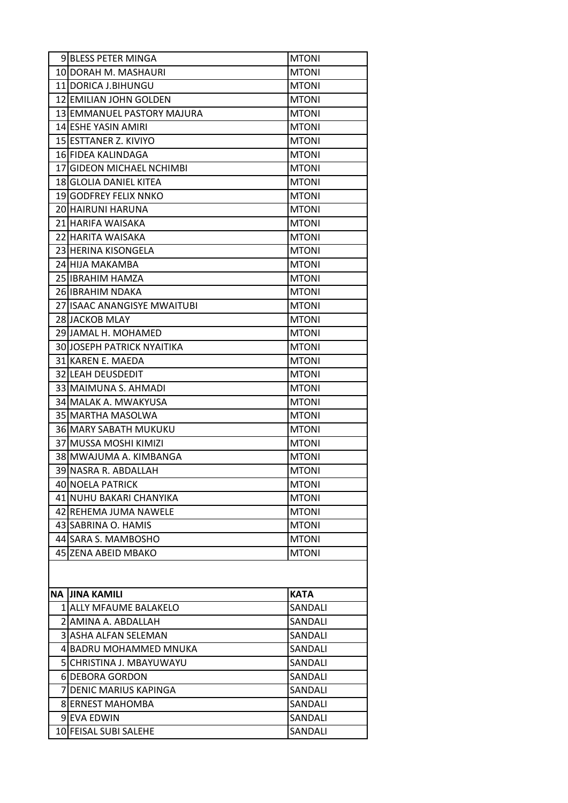| <b>9 BLESS PETER MINGA</b>        | <b>MTONI</b> |
|-----------------------------------|--------------|
| 10 DORAH M. MASHAURI              | <b>MTONI</b> |
| 11 IDORICA J.BIHUNGU              | <b>MTONI</b> |
| 12 EMILIAN JOHN GOLDEN            | <b>MTONI</b> |
| 13 EMMANUEL PASTORY MAJURA        | <b>MTONI</b> |
| 14 JESHE YASIN AMIRI              | <b>MTONI</b> |
| 15 ESTTANER Z. KIVIYO             | <b>MTONI</b> |
| 16 FIDEA KALINDAGA                | <b>MTONI</b> |
| 17 GIDEON MICHAEL NCHIMBI         | <b>MTONI</b> |
| <b>18 GLOLIA DANIEL KITEA</b>     | <b>MTONI</b> |
| 19IGODFREY FELIX NNKO             | <b>MTONI</b> |
| 20 HAIRUNI HARUNA                 | <b>MTONI</b> |
| 21 HARIFA WAISAKA                 | <b>MTONI</b> |
| 22 HARITA WAISAKA                 | <b>MTONI</b> |
| 23 HERINA KISONGELA               | <b>MTONI</b> |
| 24IHIJA MAKAMBA                   | <b>MTONI</b> |
| 25 IBRAHIM HAMZA                  | <b>MTONI</b> |
| 26 JIBRAHIM NDAKA                 | <b>MTONI</b> |
| 27 ISAAC ANANGISYE MWAITUBI       | <b>MTONI</b> |
| 28 JACKOB MLAY                    | <b>MTONI</b> |
| 29 JAMAL H. MOHAMED               | <b>MTONI</b> |
| <b>30 JOSEPH PATRICK NYAITIKA</b> | <b>MTONI</b> |
| 31 KAREN E. MAEDA                 | <b>MTONI</b> |
| 32 LEAH DEUSDEDIT                 | <b>MTONI</b> |
| 33 MAIMUNA S. AHMADI              | <b>MTONI</b> |
| 34 MALAK A. MWAKYUSA              | <b>MTONI</b> |
| 35 MARTHA MASOLWA                 | <b>MTONI</b> |
| <b>36 MARY SABATH MUKUKU</b>      | <b>MTONI</b> |
| 37 MUSSA MOSHI KIMIZI             | <b>MTONI</b> |
| 38 MWAJUMA A. KIMBANGA            | <b>MTONI</b> |
| 39 NASRA R. ABDALLAH              | <b>MTONI</b> |
| 40 NOELA PATRICK                  | <b>MTONI</b> |
| 41 NUHU BAKARI CHANYIKA           | <b>MTONI</b> |
| 42 REHEMA JUMA NAWELE             | <b>MTONI</b> |
| 43 SABRINA O. HAMIS               | <b>MTONI</b> |
| 44 SARA S. MAMBOSHO               | <b>MTONI</b> |
| 45 ZENA ABEID MBAKO               | <b>MTONI</b> |
|                                   |              |
|                                   |              |
| NA JINA KAMILI                    | <b>KATA</b>  |
| 1 ALLY MFAUME BALAKELO            | SANDALI      |
| 2 AMINA A. ABDALLAH               | SANDALI      |
| 3 ASHA ALFAN SELEMAN              | SANDALI      |
| 4 BADRU MOHAMMED MNUKA            | SANDALI      |
| 5 CHRISTINA J. MBAYUWAYU          | SANDALI      |
| 6 DEBORA GORDON                   | SANDALI      |
| 7 DENIC MARIUS KAPINGA            | SANDALI      |
| <b>8 ERNEST MAHOMBA</b>           | SANDALI      |
| 9 EVA EDWIN                       | SANDALI      |
| 10 FEISAL SUBI SALEHE             | SANDALI      |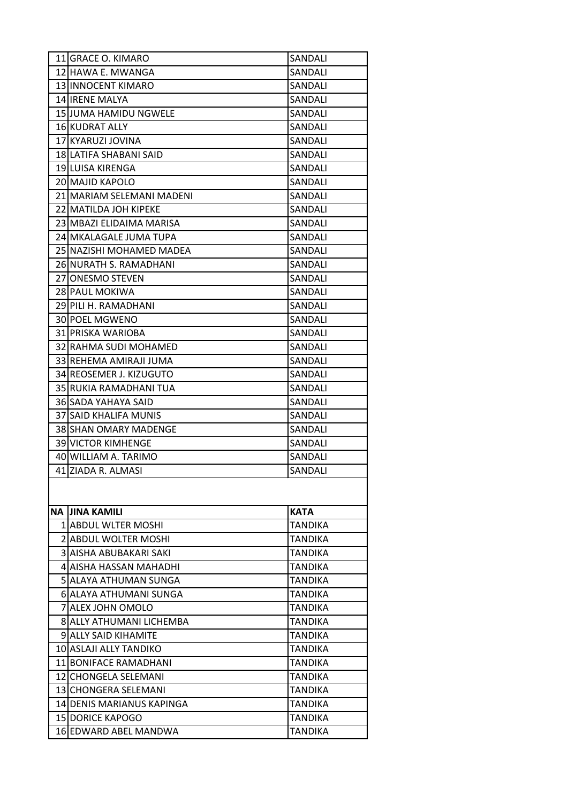| 11 GRACE O. KIMARO          | SANDALI        |
|-----------------------------|----------------|
| 12 HAWA E. MWANGA           | SANDALI        |
| 13 INNOCENT KIMARO          | SANDALI        |
| 14 IRENE MALYA              | SANDALI        |
| 15 JUMA HAMIDU NGWELE       | SANDALI        |
| 16 KUDRAT ALLY              | SANDALI        |
| 17 KYARUZI JOVINA           | SANDALI        |
| 18 LATIFA SHABANI SAID      | SANDALI        |
| 19 LUISA KIRENGA            | SANDALI        |
| 20 MAJID KAPOLO             | SANDALI        |
| 21 MARIAM SELEMANI MADENI   | SANDALI        |
| 22 MATILDA JOH KIPEKE       | SANDALI        |
| 23 MBAZI ELIDAIMA MARISA    | SANDALI        |
| 24 MKALAGALE JUMA TUPA      | SANDALI        |
| 25 NAZISHI MOHAMED MADEA    | SANDALI        |
| 26 NURATH S. RAMADHANI      | SANDALI        |
| 27 ONESMO STEVEN            | SANDALI        |
| 28 PAUL MOKIWA              | SANDALI        |
| 29 PILI H. RAMADHANI        | SANDALI        |
| 30 POEL MGWENO              | SANDALI        |
| 31 PRISKA WARIOBA           | SANDALI        |
| 32 RAHMA SUDI MOHAMED       | SANDALI        |
| 33 REHEMA AMIRAJI JUMA      | SANDALI        |
| 34 REOSEMER J. KIZUGUTO     | SANDALI        |
| 35 RUKIA RAMADHANI TUA      | SANDALI        |
| 36 SADA YAHAYA SAID         | SANDALI        |
| 37 SAID KHALIFA MUNIS       | SANDALI        |
| 38 SHAN OMARY MADENGE       | SANDALI        |
| 39 VICTOR KIMHENGE          | SANDALI        |
| 40 WILLIAM A. TARIMO        | SANDALI        |
| 41 ZIADA R. ALMASI          | SANDALI        |
|                             |                |
|                             |                |
| NA JINA KAMILI              | <b>KATA</b>    |
| 1 ABDUL WLTER MOSHI         | <b>TANDIKA</b> |
| 2 ABDUL WOLTER MOSHI        | <b>TANDIKA</b> |
| 3 AISHA ABUBAKARI SAKI      | <b>TANDIKA</b> |
| 4 AISHA HASSAN MAHADHI      | <b>TANDIKA</b> |
| 5 ALAYA ATHUMAN SUNGA       | <b>TANDIKA</b> |
| 6 ALAYA ATHUMANI SUNGA      | <b>TANDIKA</b> |
| 7 ALEX JOHN OMOLO           | <b>TANDIKA</b> |
| 8 ALLY ATHUMANI LICHEMBA    | <b>TANDIKA</b> |
| <b>9 ALLY SAID KIHAMITE</b> | <b>TANDIKA</b> |
| 10 ASLAJI ALLY TANDIKO      | <b>TANDIKA</b> |
| 11 BONIFACE RAMADHANI       | <b>TANDIKA</b> |
| 12 CHONGELA SELEMANI        | <b>TANDIKA</b> |
| 13 CHONGERA SELEMANI        | <b>TANDIKA</b> |
| 14 IDENIS MARIANUS KAPINGA  | <b>TANDIKA</b> |
| <b>15 DORICE KAPOGO</b>     | <b>TANDIKA</b> |
| 16 EDWARD ABEL MANDWA       | <b>TANDIKA</b> |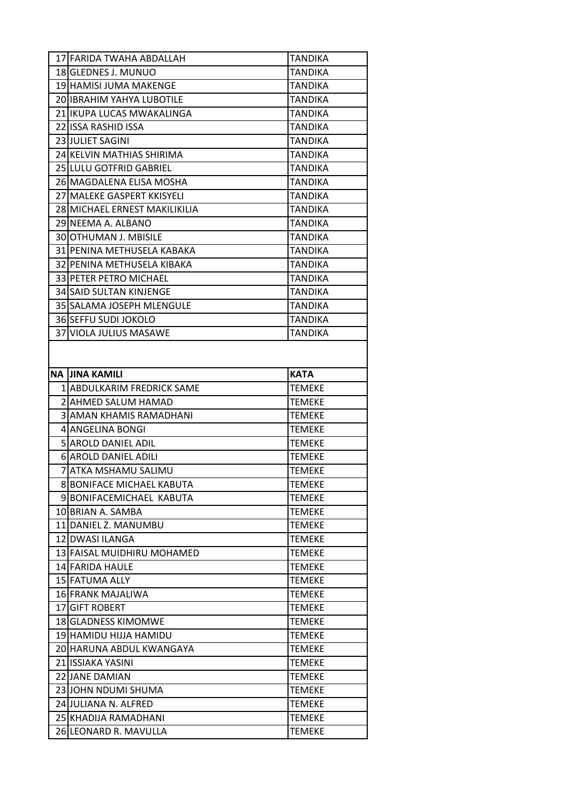| 17 FARIDA TWAHA ABDALLAH                      | <b>TANDIKA</b>                 |
|-----------------------------------------------|--------------------------------|
| 18 GLEDNES J. MUNUO                           | <b>TANDIKA</b>                 |
| 19 HAMISI JUMA MAKENGE                        | TANDIKA                        |
| 20 IBRAHIM YAHYA LUBOTILE                     | TANDIKA                        |
| 21 IKUPA LUCAS MWAKALINGA                     | <b>TANDIKA</b>                 |
| 22 ISSA RASHID ISSA                           | <b>TANDIKA</b>                 |
| 23 JULIET SAGINI                              | <b>TANDIKA</b>                 |
| 24 KELVIN MATHIAS SHIRIMA                     | <b>TANDIKA</b>                 |
| 25 LULU GOTFRID GABRIEL                       | TANDIKA                        |
| 26 MAGDALENA ELISA MOSHA                      | <b>TANDIKA</b>                 |
| 27 MALEKE GASPERT KKISYELI                    | <b>TANDIKA</b>                 |
| 28 MICHAEL ERNEST MAKILIKILIA                 | <b>TANDIKA</b>                 |
| 29 NEEMA A. ALBANO                            | TANDIKA                        |
| 30 OTHUMAN J. MBISILE                         | <b>TANDIKA</b>                 |
| 31 PENINA METHUSELA KABAKA                    | <b>TANDIKA</b>                 |
| 32 IPENINA METHUSELA KIBAKA                   | <b>TANDIKA</b>                 |
| 33 PETER PETRO MICHAEL                        | <b>TANDIKA</b>                 |
| <b>34 SAID SULTAN KINJENGE</b>                | TANDIKA                        |
| 35 SALAMA JOSEPH MLENGULE                     | <b>TANDIKA</b>                 |
| 36 SEFFU SUDI JOKOLO                          | <b>TANDIKA</b>                 |
| 37 VIOLA JULIUS MASAWE                        | <b>TANDIKA</b>                 |
|                                               |                                |
| <b>NA JINA KAMILI</b>                         | <b>KATA</b>                    |
| 1 ABDULKARIM FREDRICK SAME                    | <b>TEMEKE</b>                  |
| 2 AHMED SALUM HAMAD                           | <b>TEMEKE</b>                  |
| 3 AMAN KHAMIS RAMADHANI                       | <b>TEMEKE</b>                  |
| 4 ANGELINA BONGI                              | <b>TEMEKE</b>                  |
| 5 AROLD DANIEL ADIL                           | <b>TEMEKE</b>                  |
| 6 AROLD DANIEL ADILI                          | <b>TEMEKE</b>                  |
| lATKA MSHAMU SALIMU                           | <b>TEMEKE</b>                  |
| 8 BONIFACE MICHAEL KABUTA                     | <b>TEMEKE</b>                  |
| 9 BONIFACEMICHAEL KABUTA                      | <b>TEMEKE</b>                  |
| 10 BRIAN A. SAMBA                             | <b>TEMEKE</b>                  |
| 11 DANIEL Z. MANUMBU                          | <b>TEMEKE</b>                  |
| 12 DWASI ILANGA                               | <b>TEMEKE</b>                  |
| 13 FAISAL MUIDHIRU MOHAMED                    | <b>TEMEKE</b>                  |
| 14 FARIDA HAULE                               | <b>TEMEKE</b>                  |
| 15 FATUMA ALLY                                | <b>TEMEKE</b>                  |
| 16 FRANK MAJALIWA                             | <b>TEMEKE</b>                  |
| 17 GIFT ROBERT                                | <b>TEMEKE</b>                  |
| 18 GLADNESS KIMOMWE                           | <b>TEMEKE</b>                  |
| 19 HAMIDU HIJJA HAMIDU                        | <b>TEMEKE</b>                  |
| 20 HARUNA ABDUL KWANGAYA                      | <b>TEMEKE</b>                  |
| 21 ISSIAKA YASINI                             | <b>TEMEKE</b>                  |
| 22 JANE DAMIAN                                | <b>TEMEKE</b>                  |
| 23 JOHN NDUMI SHUMA                           | <b>TEMEKE</b>                  |
| 24 JULIANA N. ALFRED                          | <b>TEMEKE</b>                  |
| 25 KHADIJA RAMADHANI<br>26 LEONARD R. MAVULLA | <b>TEMEKE</b><br><b>TEMEKE</b> |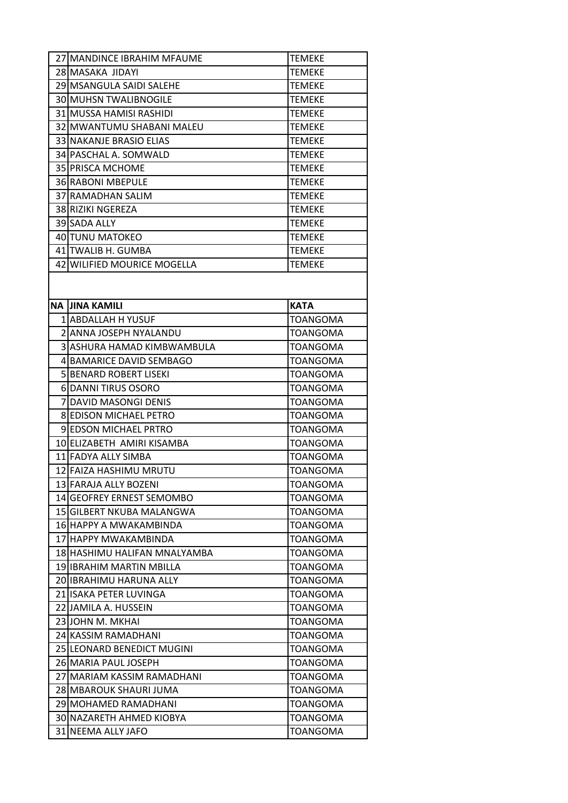| 27 MANDINCE IBRAHIM MFAUME    | <b>TEMEKE</b>   |
|-------------------------------|-----------------|
| 28 MASAKA JIDAYI              | <b>TEMEKE</b>   |
| 29 MSANGULA SAIDI SALEHE      | <b>TEMEKE</b>   |
| <b>30 MUHSN TWALIBNOGILE</b>  | <b>TEMEKE</b>   |
| 31 MUSSA HAMISI RASHIDI       | <b>TEMEKE</b>   |
| 32 MWANTUMU SHABANI MALEU     | <b>TEMEKE</b>   |
| 33 NAKANJE BRASIO ELIAS       | <b>TEMEKE</b>   |
| 34 PASCHAL A. SOMWALD         | <b>TEMEKE</b>   |
| 35 PRISCA MCHOME              | <b>TEMEKE</b>   |
| 36 RABONI MBEPULE             | <b>TEMEKE</b>   |
| 37 RAMADHAN SALIM             | <b>TEMEKE</b>   |
| 38 RIZIKI NGEREZA             | <b>TEMEKE</b>   |
| 39 SADA ALLY                  | <b>TEMEKE</b>   |
| 40 TUNU MATOKEO               | <b>TEMEKE</b>   |
| 41 TWALIB H. GUMBA            | <b>TEMEKE</b>   |
| 42 WILIFIED MOURICE MOGELLA   | <b>TEMEKE</b>   |
|                               |                 |
|                               |                 |
| <b>NA JINA KAMILI</b>         | <b>KATA</b>     |
| 1 ABDALLAH H YUSUF            | <b>TOANGOMA</b> |
| 2 ANNA JOSEPH NYALANDU        | TOANGOMA        |
| 3 ASHURA HAMAD KIMBWAMBULA    | <b>TOANGOMA</b> |
| 4 BAMARICE DAVID SEMBAGO      | <b>TOANGOMA</b> |
| <b>5 BENARD ROBERT LISEKI</b> | TOANGOMA        |
| 6 DANNI TIRUS OSORO           | TOANGOMA        |
| 7 IDAVID MASONGI DENIS        | TOANGOMA        |
| <b>8 EDISON MICHAEL PETRO</b> | <b>TOANGOMA</b> |
| <b>9IEDSON MICHAEL PRTRO</b>  | <b>TOANGOMA</b> |
| 10 ELIZABETH AMIRI KISAMBA    | TOANGOMA        |
| 11 FADYA ALLY SIMBA           | <b>TOANGOMA</b> |
| 12 FAIZA HASHIMU MRUTU        | TOANGOMA        |
| 13 FARAJA ALLY BOZENI         | TOANGOMA        |
| 14 GEOFREY ERNEST SEMOMBO     | TOANGOMA        |
| 15 GILBERT NKUBA MALANGWA     | <b>TOANGOMA</b> |
| 16 HAPPY A MWAKAMBINDA        | TOANGOMA        |
| 17 HAPPY MWAKAMBINDA          | <b>TOANGOMA</b> |
| 18 HASHIMU HALIFAN MNALYAMBA  | <b>TOANGOMA</b> |
| 19 IBRAHIM MARTIN MBILLA      | <b>TOANGOMA</b> |
| 20 IBRAHIMU HARUNA ALLY       | TOANGOMA        |
| 21 ISAKA PETER LUVINGA        | <b>TOANGOMA</b> |
| 22 JAMILA A. HUSSEIN          | <b>TOANGOMA</b> |
| 23 JOHN M. MKHAI              | <b>TOANGOMA</b> |
| 24 KASSIM RAMADHANI           | <b>TOANGOMA</b> |
| 25 LEONARD BENEDICT MUGINI    | TOANGOMA        |
| 26 MARIA PAUL JOSEPH          | TOANGOMA        |
| 27 MARIAM KASSIM RAMADHANI    | <b>TOANGOMA</b> |
| 28 MBAROUK SHAURI JUMA        | <b>TOANGOMA</b> |
| 29 MOHAMED RAMADHANI          | <b>TOANGOMA</b> |
| 30 NAZARETH AHMED KIOBYA      | TOANGOMA        |
| 31 NEEMA ALLY JAFO            | TOANGOMA        |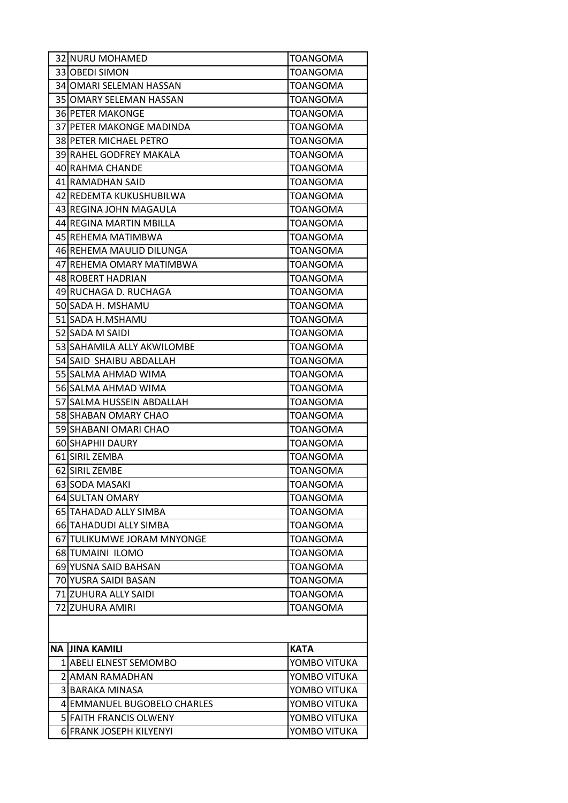|    | 32 NURU MOHAMED               | <b>TOANGOMA</b> |
|----|-------------------------------|-----------------|
|    | 33 OBEDI SIMON                | <b>TOANGOMA</b> |
|    | 34 OMARI SELEMAN HASSAN       | <b>TOANGOMA</b> |
|    | 35 OMARY SELEMAN HASSAN       | <b>TOANGOMA</b> |
|    | <b>36 PETER MAKONGE</b>       | <b>TOANGOMA</b> |
|    | 37 PETER MAKONGE MADINDA      | TOANGOMA        |
|    | 38 PETER MICHAEL PETRO        | <b>TOANGOMA</b> |
|    | 39 RAHEL GODFREY MAKALA       | <b>TOANGOMA</b> |
|    | 40 RAHMA CHANDE               | <b>TOANGOMA</b> |
|    | 41 RAMADHAN SAID              | <b>TOANGOMA</b> |
|    | 42 REDEMTA KUKUSHUBILWA       | TOANGOMA        |
|    | 43 REGINA JOHN MAGAULA        | <b>TOANGOMA</b> |
|    | 44 REGINA MARTIN MBILLA       | <b>TOANGOMA</b> |
|    | 45 REHEMA MATIMBWA            | <b>TOANGOMA</b> |
|    | 46 REHEMA MAULID DILUNGA      | <b>TOANGOMA</b> |
|    | 47 REHEMA OMARY MATIMBWA      | TOANGOMA        |
|    | 48 ROBERT HADRIAN             | <b>TOANGOMA</b> |
|    | 49 RUCHAGA D. RUCHAGA         | <b>TOANGOMA</b> |
|    | 50 SADA H. MSHAMU             | <b>TOANGOMA</b> |
|    | 51 SADA H.MSHAMU              | <b>TOANGOMA</b> |
|    | 52 SADA M SAIDI               | TOANGOMA        |
|    | 53 SAHAMILA ALLY AKWILOMBE    | <b>TOANGOMA</b> |
|    | 54 SAID SHAIBU ABDALLAH       | <b>TOANGOMA</b> |
|    | 55 SALMA AHMAD WIMA           | <b>TOANGOMA</b> |
|    | 56 SALMA AHMAD WIMA           | <b>TOANGOMA</b> |
|    | 57 SALMA HUSSEIN ABDALLAH     | TOANGOMA        |
|    | 58 SHABAN OMARY CHAO          | <b>TOANGOMA</b> |
|    | 59 SHABANI OMARI CHAO         | <b>TOANGOMA</b> |
|    | 60 SHAPHII DAURY              | <b>TOANGOMA</b> |
|    | 61 SIRIL ZEMBA                | <b>TOANGOMA</b> |
|    | 62 SIRIL ZEMBE                | <b>TOANGOMA</b> |
|    | 63 SODA MASAKI                | <b>TOANGOMA</b> |
|    | <b>64 SULTAN OMARY</b>        | <b>TOANGOMA</b> |
|    | 65 TAHADAD ALLY SIMBA         | <b>TOANGOMA</b> |
|    | 66 TAHADUDI ALLY SIMBA        | <b>TOANGOMA</b> |
|    | 67 TULIKUMWE JORAM MNYONGE    | <b>TOANGOMA</b> |
|    | 68 TUMAINI ILOMO              | <b>TOANGOMA</b> |
|    | 69 YUSNA SAID BAHSAN          | <b>TOANGOMA</b> |
|    | 70 YUSRA SAIDI BASAN          | <b>TOANGOMA</b> |
|    | 71 ZUHURA ALLY SAIDI          | <b>TOANGOMA</b> |
|    | 72 ZUHURA AMIRI               | <b>TOANGOMA</b> |
|    |                               |                 |
| NA | <b>JINA KAMILI</b>            | <b>KATA</b>     |
|    | 1 ABELI ELNEST SEMOMBO        | YOMBO VITUKA    |
|    | 2 AMAN RAMADHAN               | YOMBO VITUKA    |
|    | 3 BARAKA MINASA               | YOMBO VITUKA    |
|    | 4 EMMANUEL BUGOBELO CHARLES   | YOMBO VITUKA    |
|    | <b>5 FAITH FRANCIS OLWENY</b> | YOMBO VITUKA    |
|    | 6 FRANK JOSEPH KILYENYI       | YOMBO VITUKA    |